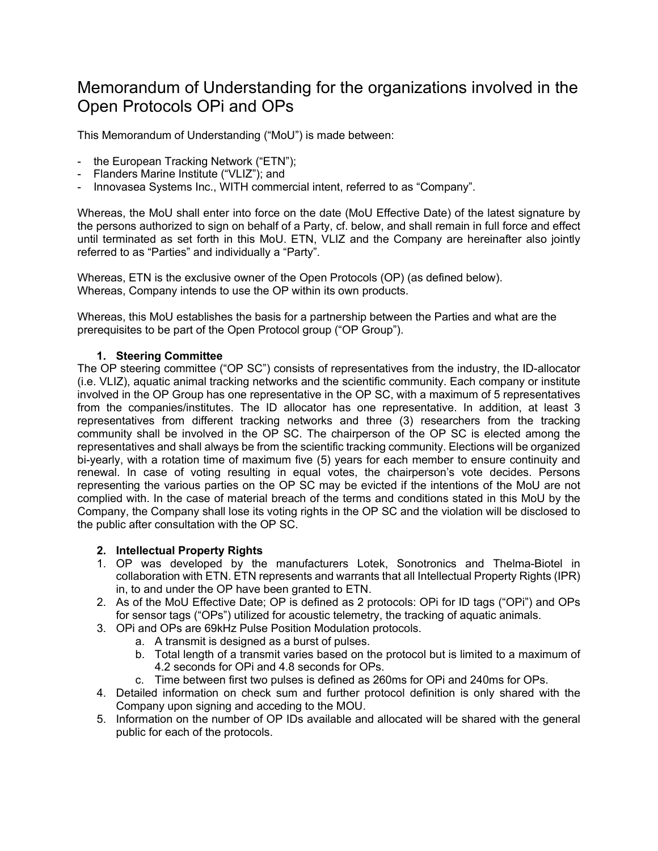# Memorandum of Understanding for the organizations involved in the Open Protocols OPi and OPs

This Memorandum of Understanding ("MoU") is made between:

- the European Tracking Network ("ETN");
- Flanders Marine Institute ("VLIZ"); and
- Innovasea Systems Inc., WITH commercial intent, referred to as "Company".

Whereas, the MoU shall enter into force on the date (MoU Effective Date) of the latest signature by the persons authorized to sign on behalf of a Party, cf. below, and shall remain in full force and effect until terminated as set forth in this MoU. ETN, VLIZ and the Company are hereinafter also jointly referred to as "Parties" and individually a "Party".

Whereas, ETN is the exclusive owner of the Open Protocols (OP) (as defined below). Whereas, Company intends to use the OP within its own products.

Whereas, this MoU establishes the basis for a partnership between the Parties and what are the prerequisites to be part of the Open Protocol group ("OP Group").

### **1. Steering Committee**

The OP steering committee ("OP SC") consists of representatives from the industry, the ID-allocator (i.e. VLIZ), aquatic animal tracking networks and the scientific community. Each company or institute involved in the OP Group has one representative in the OP SC, with a maximum of 5 representatives from the companies/institutes. The ID allocator has one representative. In addition, at least 3 representatives from different tracking networks and three (3) researchers from the tracking community shall be involved in the OP SC. The chairperson of the OP SC is elected among the representatives and shall always be from the scientific tracking community. Elections will be organized bi-yearly, with a rotation time of maximum five (5) years for each member to ensure continuity and renewal. In case of voting resulting in equal votes, the chairperson's vote decides. Persons representing the various parties on the OP SC may be evicted if the intentions of the MoU are not complied with. In the case of material breach of the terms and conditions stated in this MoU by the Company, the Company shall lose its voting rights in the OP SC and the violation will be disclosed to the public after consultation with the OP SC.

### **2. Intellectual Property Rights**

- 1. OP was developed by the manufacturers Lotek, Sonotronics and Thelma-Biotel in collaboration with ETN. ETN represents and warrants that all Intellectual Property Rights (IPR) in, to and under the OP have been granted to ETN.
- 2. As of the MoU Effective Date; OP is defined as 2 protocols: OPi for ID tags ("OPi") and OPs for sensor tags ("OPs") utilized for acoustic telemetry, the tracking of aquatic animals.
- 3. OPi and OPs are 69kHz Pulse Position Modulation protocols.
	- a. A transmit is designed as a burst of pulses.
	- b. Total length of a transmit varies based on the protocol but is limited to a maximum of 4.2 seconds for OPi and 4.8 seconds for OPs.
	- c. Time between first two pulses is defined as 260ms for OPi and 240ms for OPs.
- 4. Detailed information on check sum and further protocol definition is only shared with the Company upon signing and acceding to the MOU.
- 5. Information on the number of OP IDs available and allocated will be shared with the general public for each of the protocols.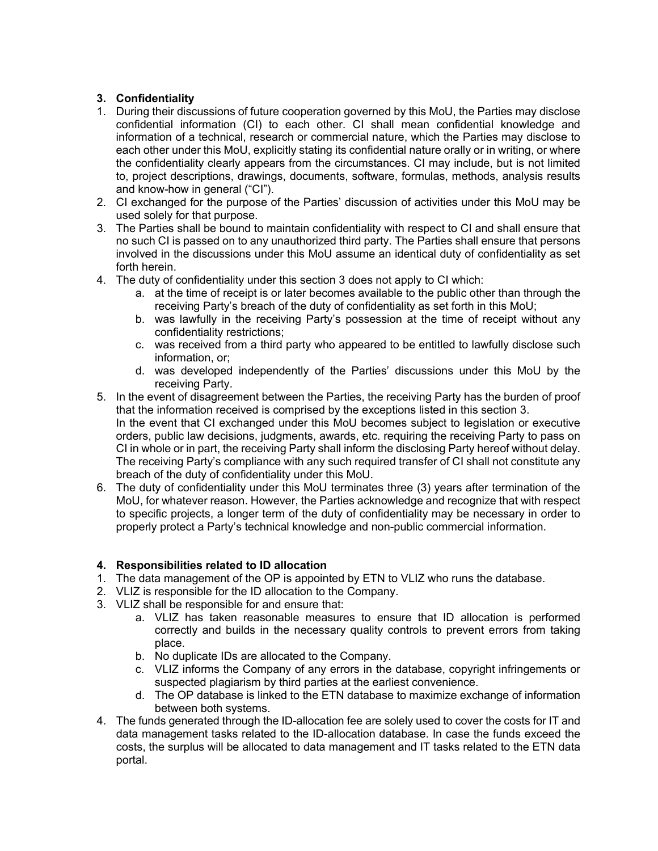## **3. Confidentiality**

- 1. During their discussions of future cooperation governed by this MoU, the Parties may disclose confidential information (CI) to each other. CI shall mean confidential knowledge and information of a technical, research or commercial nature, which the Parties may disclose to each other under this MoU, explicitly stating its confidential nature orally or in writing, or where the confidentiality clearly appears from the circumstances. CI may include, but is not limited to, project descriptions, drawings, documents, software, formulas, methods, analysis results and know-how in general ("CI").
- 2. CI exchanged for the purpose of the Parties' discussion of activities under this MoU may be used solely for that purpose.
- 3. The Parties shall be bound to maintain confidentiality with respect to CI and shall ensure that no such CI is passed on to any unauthorized third party. The Parties shall ensure that persons involved in the discussions under this MoU assume an identical duty of confidentiality as set forth herein.
- 4. The duty of confidentiality under this section 3 does not apply to CI which:
	- a. at the time of receipt is or later becomes available to the public other than through the receiving Party's breach of the duty of confidentiality as set forth in this MoU;
	- b. was lawfully in the receiving Party's possession at the time of receipt without any confidentiality restrictions;
	- c. was received from a third party who appeared to be entitled to lawfully disclose such information, or;
	- d. was developed independently of the Parties' discussions under this MoU by the receiving Party.
- 5. In the event of disagreement between the Parties, the receiving Party has the burden of proof that the information received is comprised by the exceptions listed in this section 3. In the event that CI exchanged under this MoU becomes subject to legislation or executive orders, public law decisions, judgments, awards, etc. requiring the receiving Party to pass on CI in whole or in part, the receiving Party shall inform the disclosing Party hereof without delay. The receiving Party's compliance with any such required transfer of CI shall not constitute any breach of the duty of confidentiality under this MoU.
- 6. The duty of confidentiality under this MoU terminates three (3) years after termination of the MoU, for whatever reason. However, the Parties acknowledge and recognize that with respect to specific projects, a longer term of the duty of confidentiality may be necessary in order to properly protect a Party's technical knowledge and non-public commercial information.

## **4. Responsibilities related to ID allocation**

- 1. The data management of the OP is appointed by ETN to VLIZ who runs the database.
- 2. VLIZ is responsible for the ID allocation to the Company.
- 3. VLIZ shall be responsible for and ensure that:
	- a. VLIZ has taken reasonable measures to ensure that ID allocation is performed correctly and builds in the necessary quality controls to prevent errors from taking place.
	- b. No duplicate IDs are allocated to the Company.
	- c. VLIZ informs the Company of any errors in the database, copyright infringements or suspected plagiarism by third parties at the earliest convenience.
	- d. The OP database is linked to the ETN database to maximize exchange of information between both systems.
- 4. The funds generated through the ID-allocation fee are solely used to cover the costs for IT and data management tasks related to the ID-allocation database. In case the funds exceed the costs, the surplus will be allocated to data management and IT tasks related to the ETN data portal.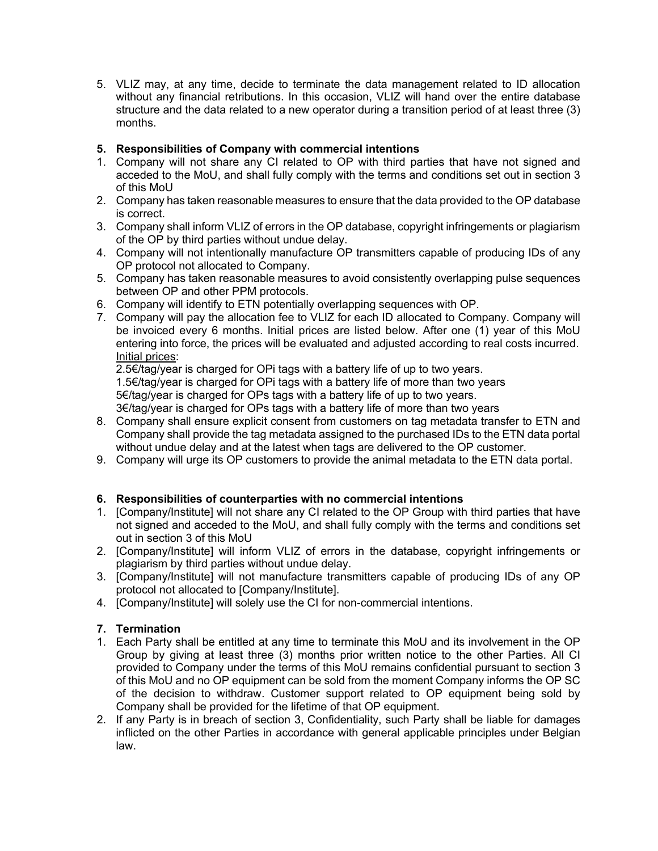5. VLIZ may, at any time, decide to terminate the data management related to ID allocation without any financial retributions. In this occasion, VLIZ will hand over the entire database structure and the data related to a new operator during a transition period of at least three (3) months.

## **5. Responsibilities of Company with commercial intentions**

- 1. Company will not share any CI related to OP with third parties that have not signed and acceded to the MoU, and shall fully comply with the terms and conditions set out in section 3 of this MoU
- 2. Company has taken reasonable measures to ensure that the data provided to the OP database is correct.
- 3. Company shall inform VLIZ of errors in the OP database, copyright infringements or plagiarism of the OP by third parties without undue delay.
- 4. Company will not intentionally manufacture OP transmitters capable of producing IDs of any OP protocol not allocated to Company.
- 5. Company has taken reasonable measures to avoid consistently overlapping pulse sequences between OP and other PPM protocols.
- 6. Company will identify to ETN potentially overlapping sequences with OP.
- 7. Company will pay the allocation fee to VLIZ for each ID allocated to Company. Company will be invoiced every 6 months. Initial prices are listed below. After one (1) year of this MoU entering into force, the prices will be evaluated and adjusted according to real costs incurred. Initial prices:

2.5€/tag/year is charged for OPi tags with a battery life of up to two years.

1.5€/tag/year is charged for OPi tags with a battery life of more than two years 5€/tag/year is charged for OPs tags with a battery life of up to two years.

3€/tag/year is charged for OPs tags with a battery life of more than two years

- 8. Company shall ensure explicit consent from customers on tag metadata transfer to ETN and Company shall provide the tag metadata assigned to the purchased IDs to the ETN data portal without undue delay and at the latest when tags are delivered to the OP customer.
- 9. Company will urge its OP customers to provide the animal metadata to the ETN data portal.

## **6. Responsibilities of counterparties with no commercial intentions**

- 1. [Company/Institute] will not share any CI related to the OP Group with third parties that have not signed and acceded to the MoU, and shall fully comply with the terms and conditions set out in section 3 of this MoU
- 2. [Company/Institute] will inform VLIZ of errors in the database, copyright infringements or plagiarism by third parties without undue delay.
- 3. [Company/Institute] will not manufacture transmitters capable of producing IDs of any OP protocol not allocated to [Company/Institute].
- 4. [Company/Institute] will solely use the CI for non-commercial intentions.

## **7. Termination**

- 1. Each Party shall be entitled at any time to terminate this MoU and its involvement in the OP Group by giving at least three (3) months prior written notice to the other Parties. All CI provided to Company under the terms of this MoU remains confidential pursuant to section 3 of this MoU and no OP equipment can be sold from the moment Company informs the OP SC of the decision to withdraw. Customer support related to OP equipment being sold by Company shall be provided for the lifetime of that OP equipment.
- 2. If any Party is in breach of section 3, Confidentiality, such Party shall be liable for damages inflicted on the other Parties in accordance with general applicable principles under Belgian law.